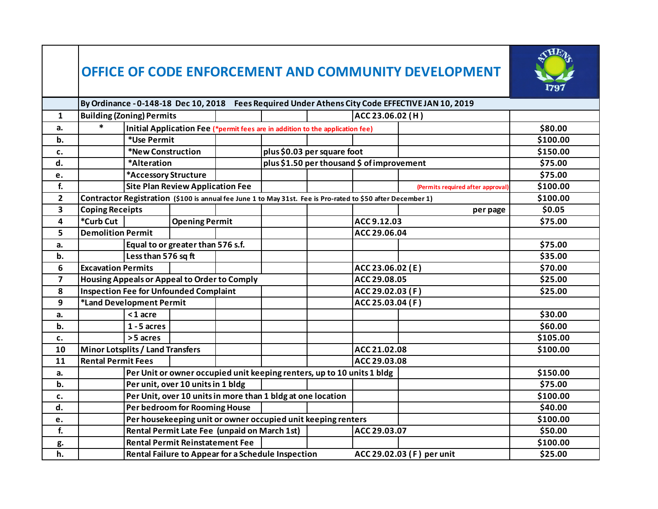## **OFFICE OF CODE ENFORCEMENT AND COMMUNITY DEVELOPMENT**



|                         | By Ordinance - 0-148-18 Dec 10, 2018 Fees Required Under Athens City Code EFFECTIVE JAN 10, 2019 |                                                                                                             |                                         |  |                                                                               |              |                  |                                   |          |
|-------------------------|--------------------------------------------------------------------------------------------------|-------------------------------------------------------------------------------------------------------------|-----------------------------------------|--|-------------------------------------------------------------------------------|--------------|------------------|-----------------------------------|----------|
| $\mathbf{1}$            |                                                                                                  | <b>Building (Zoning) Permits</b>                                                                            |                                         |  |                                                                               |              | ACC 23.06.02 (H) |                                   |          |
| a.                      |                                                                                                  |                                                                                                             |                                         |  | Initial Application Fee (*permit fees are in addition to the application fee) |              |                  |                                   | \$80.00  |
| b.                      |                                                                                                  | *Use Permit                                                                                                 |                                         |  |                                                                               |              |                  |                                   | \$100.00 |
| c.                      |                                                                                                  | *New Construction                                                                                           |                                         |  | plus \$0.03 per square foot                                                   |              |                  |                                   | \$150.00 |
| d.                      |                                                                                                  | *Alteration                                                                                                 |                                         |  | plus \$1.50 per thousand \$ of improvement                                    |              |                  |                                   | \$75.00  |
| e.                      |                                                                                                  | *Accessory Structure                                                                                        |                                         |  |                                                                               |              |                  |                                   | \$75.00  |
| f.                      |                                                                                                  |                                                                                                             | <b>Site Plan Review Application Fee</b> |  |                                                                               |              |                  | (Permits required after approval) | \$100.00 |
| $\overline{2}$          |                                                                                                  | Contractor Registration (\$100 is annual fee June 1 to May 31st. Fee is Pro-rated to \$50 after December 1) |                                         |  |                                                                               |              |                  |                                   | \$100.00 |
| $\overline{\mathbf{3}}$ | <b>Coping Receipts</b>                                                                           |                                                                                                             |                                         |  |                                                                               |              |                  | per page                          | \$0.05   |
| 4                       | *Curb Cut                                                                                        |                                                                                                             | <b>Opening Permit</b>                   |  |                                                                               |              | ACC 9.12.03      |                                   | \$75.00  |
| 5                       | <b>Demolition Permit</b>                                                                         |                                                                                                             |                                         |  |                                                                               |              | ACC 29.06.04     |                                   |          |
| a.                      |                                                                                                  | Equal to or greater than 576 s.f.                                                                           |                                         |  |                                                                               |              |                  |                                   | \$75.00  |
| b.                      |                                                                                                  | Less than 576 sq ft                                                                                         |                                         |  |                                                                               |              |                  |                                   | \$35.00  |
| 6                       | <b>Excavation Permits</b>                                                                        |                                                                                                             |                                         |  |                                                                               |              | ACC 23.06.02 (E) |                                   | \$70.00  |
| $\overline{\mathbf{z}}$ |                                                                                                  | Housing Appeals or Appeal to Order to Comply                                                                |                                         |  |                                                                               | ACC 29.08.05 |                  |                                   | \$25.00  |
| 8                       |                                                                                                  | <b>Inspection Fee for Unfounded Complaint</b>                                                               |                                         |  |                                                                               |              | ACC 29.02.03 (F) |                                   | \$25.00  |
| 9                       |                                                                                                  | *Land Development Permit                                                                                    |                                         |  |                                                                               |              | ACC 25.03.04 (F) |                                   |          |
| a.                      |                                                                                                  | $<$ 1 acre                                                                                                  |                                         |  |                                                                               |              |                  |                                   | \$30.00  |
| b.                      |                                                                                                  | $1 - 5$ acres                                                                                               |                                         |  |                                                                               |              |                  |                                   | \$60.00  |
| c.                      |                                                                                                  | >5 acres                                                                                                    |                                         |  |                                                                               |              |                  |                                   | \$105.00 |
| 10                      | Minor Lotsplits / Land Transfers                                                                 |                                                                                                             |                                         |  |                                                                               |              | ACC 21.02.08     |                                   | \$100.00 |
| 11                      |                                                                                                  | <b>Rental Permit Fees</b>                                                                                   |                                         |  |                                                                               |              | ACC 29.03.08     |                                   |          |
| a.                      |                                                                                                  | Per Unit or owner occupied unit keeping renters, up to 10 units 1 bldg                                      |                                         |  |                                                                               |              |                  | \$150.00                          |          |
| b.                      |                                                                                                  | Per unit, over 10 units in 1 bldg                                                                           |                                         |  |                                                                               |              |                  |                                   | \$75.00  |
| c.                      |                                                                                                  | Per Unit, over 10 units in more than 1 bldg at one location                                                 |                                         |  |                                                                               |              |                  |                                   | \$100.00 |
| d.                      |                                                                                                  | Per bedroom for Rooming House                                                                               |                                         |  |                                                                               |              |                  |                                   | \$40.00  |
| e.                      |                                                                                                  | Per housekeeping unit or owner occupied unit keeping renters                                                |                                         |  |                                                                               |              |                  |                                   | \$100.00 |
| f.                      |                                                                                                  | Rental Permit Late Fee (unpaid on March 1st)<br>ACC 29.03.07                                                |                                         |  |                                                                               |              |                  |                                   | \$50.00  |
| g.                      |                                                                                                  |                                                                                                             | <b>Rental Permit Reinstatement Fee</b>  |  |                                                                               |              |                  |                                   | \$100.00 |
| h.                      |                                                                                                  | Rental Failure to Appear for a Schedule Inspection<br>ACC 29.02.03 (F) per unit                             |                                         |  |                                                                               |              |                  |                                   | \$25.00  |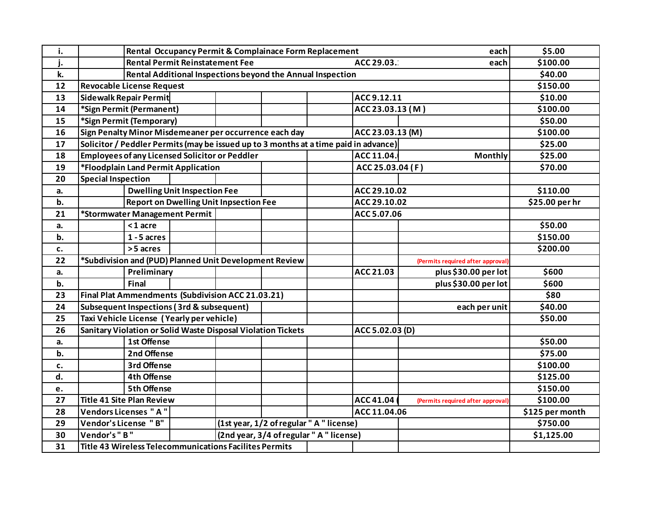| i. |                                                                                             | \$5.00                                                                          |                                     |                                                        |  |  |                  |                                   |                 |
|----|---------------------------------------------------------------------------------------------|---------------------------------------------------------------------------------|-------------------------------------|--------------------------------------------------------|--|--|------------------|-----------------------------------|-----------------|
| j. |                                                                                             | \$100.00                                                                        |                                     |                                                        |  |  |                  |                                   |                 |
| k. |                                                                                             | \$40.00                                                                         |                                     |                                                        |  |  |                  |                                   |                 |
| 12 | <b>Revocable License Request</b>                                                            | \$150.00                                                                        |                                     |                                                        |  |  |                  |                                   |                 |
| 13 |                                                                                             | Sidewalk Repair Permit                                                          |                                     |                                                        |  |  | ACC 9.12.11      |                                   | \$10.00         |
| 14 |                                                                                             | *Sign Permit (Permanent)                                                        |                                     |                                                        |  |  | ACC 23.03.13 (M) |                                   | \$100.00        |
| 15 |                                                                                             | *Sign Permit (Temporary)                                                        |                                     |                                                        |  |  |                  |                                   | \$50.00         |
| 16 | Sign Penalty Minor Misdemeaner per occurrence each day<br>ACC 23.03.13 (M)                  |                                                                                 |                                     |                                                        |  |  |                  |                                   | \$100.00        |
| 17 | Solicitor / Peddler Permits (may be issued up to 3 months at a time paid in advance)        | \$25.00                                                                         |                                     |                                                        |  |  |                  |                                   |                 |
| 18 |                                                                                             | <b>Employees of any Licensed Solicitor or Peddler</b>                           |                                     |                                                        |  |  | ACC 11.04.       | Monthly                           | \$25.00         |
| 19 |                                                                                             | *Floodplain Land Permit Application                                             |                                     |                                                        |  |  | ACC 25.03.04 (F) |                                   | \$70.00         |
| 20 |                                                                                             | <b>Special Inspection</b>                                                       |                                     |                                                        |  |  |                  |                                   |                 |
| a. |                                                                                             |                                                                                 | <b>Dwelling Unit Inspection Fee</b> |                                                        |  |  | ACC 29.10.02     |                                   | \$110.00        |
| b. |                                                                                             |                                                                                 |                                     | <b>Report on Dwelling Unit Inpsection Fee</b>          |  |  | ACC 29.10.02     |                                   | \$25.00 per hr  |
| 21 |                                                                                             | *Stormwater Management Permit                                                   |                                     |                                                        |  |  | ACC 5.07.06      |                                   |                 |
| a. |                                                                                             | $<$ 1 acre                                                                      |                                     |                                                        |  |  |                  |                                   | \$50.00         |
| b. |                                                                                             | $1 - 5$ acres                                                                   |                                     |                                                        |  |  |                  |                                   | \$150.00        |
| c. |                                                                                             | >5 acres                                                                        |                                     |                                                        |  |  |                  |                                   | \$200.00        |
| 22 | *Subdivision and (PUD) Planned Unit Development Review<br>(Permits required after approval) |                                                                                 |                                     |                                                        |  |  |                  |                                   |                 |
| a. |                                                                                             | Preliminary                                                                     |                                     |                                                        |  |  | ACC 21.03        | plus \$30.00 per lot              | \$600           |
| b. |                                                                                             | <b>Final</b>                                                                    |                                     |                                                        |  |  |                  | plus \$30.00 per lot              | \$600           |
| 23 |                                                                                             | Final Plat Ammendments (Subdivision ACC 21.03.21)                               |                                     |                                                        |  |  |                  |                                   |                 |
| 24 |                                                                                             | Subsequent Inspections (3rd & subsequent)                                       |                                     |                                                        |  |  |                  | each per unit                     | \$40.00         |
| 25 |                                                                                             | Taxi Vehicle License (Yearly per vehicle)                                       |                                     |                                                        |  |  |                  |                                   | \$50.00         |
| 26 |                                                                                             | Sanitary Violation or Solid Waste Disposal Violation Tickets<br>ACC 5.02.03 (D) |                                     |                                                        |  |  |                  |                                   |                 |
| a. |                                                                                             | 1st Offense                                                                     |                                     |                                                        |  |  |                  |                                   | \$50.00         |
| b. |                                                                                             | 2nd Offense                                                                     |                                     |                                                        |  |  |                  |                                   | \$75.00         |
| c. |                                                                                             | 3rd Offense                                                                     |                                     |                                                        |  |  |                  |                                   | \$100.00        |
| d. |                                                                                             | <b>4th Offense</b>                                                              |                                     |                                                        |  |  |                  |                                   | \$125.00        |
| e. |                                                                                             | <b>5th Offense</b>                                                              |                                     |                                                        |  |  |                  |                                   | \$150.00        |
| 27 |                                                                                             | <b>Title 41 Site Plan Review</b>                                                |                                     |                                                        |  |  | ACC 41.04        | (Permits required after approval) | \$100.00        |
| 28 | Vendors Licenses "A"                                                                        |                                                                                 |                                     |                                                        |  |  | ACC 11.04.06     |                                   | \$125 per month |
| 29 | Vendor's License "B"                                                                        |                                                                                 |                                     | (1st year, 1/2 of regular " A " license)               |  |  |                  |                                   | \$750.00        |
| 30 | Vendor's "B"                                                                                |                                                                                 |                                     | (2nd year, 3/4 of regular "A" license)                 |  |  |                  |                                   | \$1,125.00      |
| 31 |                                                                                             |                                                                                 |                                     | Title 43 Wireless Telecommunications Facilites Permits |  |  |                  |                                   |                 |